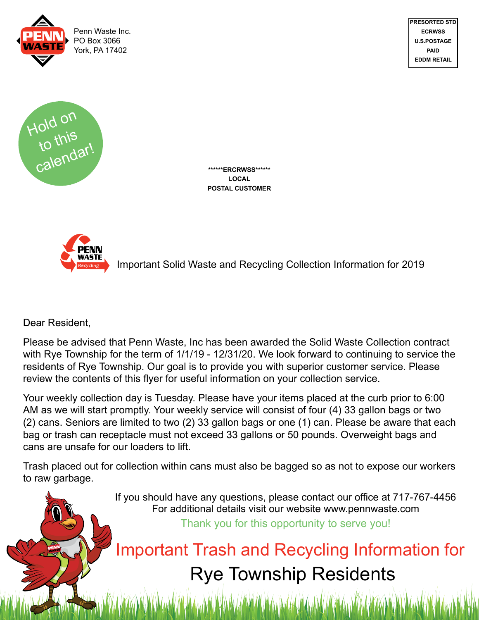



**\*\*\*\*\*\*ERCRWSS\*\*\*\*\*\* LOCAL POSTAL CUSTOMER**



Important Solid Waste and Recycling Collection Information for 2019

**PRESORTED STD ECRWSS U.S.POSTAGE PAID EDDM RETAIL**

Dear Resident,

Please be advised that Penn Waste, Inc has been awarded the Solid Waste Collection contract with Rye Township for the term of  $1/1/19$  - 12/31/20. We look forward to continuing to service the residents of Rye Township. Our goal is to provide you with superior customer service. Please review the contents of this flyer for useful information on your collection service.

Your weekly collection day is Tuesday. Please have your items placed at the curb prior to 6:00 AM as we will start promptly. Your weekly service will consist of four (4) 33 gallon bags or two (2) cans. Seniors are limited to two (2) 33 gallon bags or one (1) can. Please be aware that each bag or trash can receptacle must not exceed 33 gallons or 50 pounds. Overweight bags and cans are unsafe for our loaders to lift.

Trash placed out for collection within cans must also be bagged so as not to expose our workers to raw garbage.

> If you should have any questions, please contact our office at 717-767-4456 For additional details visit our website www.pennwaste.com Thank you for this opportunity to serve you!

Important Trash and Recycling Information for Rye Township Residents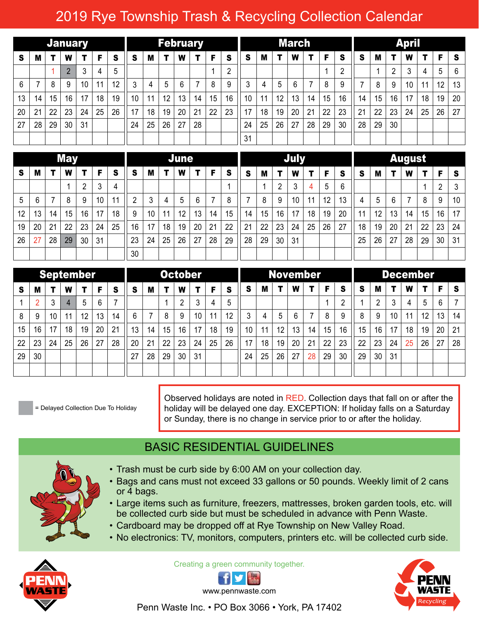#### 2019 Rye Township Trash & Recycling Collection Calendar

| <b>January</b> |    |    |                |                 |    |    |    | <b>February</b> |    |    |    |    |    |          |    | <b>March</b> |    |    |    |                |    |    |    | <b>April</b> |    |    |    |  |  |  |  |
|----------------|----|----|----------------|-----------------|----|----|----|-----------------|----|----|----|----|----|----------|----|--------------|----|----|----|----------------|----|----|----|--------------|----|----|----|--|--|--|--|
| S              | M  |    | W              | т.              | F. | S  | S  | м               |    | W  |    | F  | -S | <b>S</b> | M  | т            | W  | т  | F  | S              | S  | M  |    | W            | т  | F  | S  |  |  |  |  |
|                |    |    | $\mathfrak{p}$ | 3               | 4  | 5  |    |                 |    |    |    |    | റ  |          |    |              |    |    |    | $\overline{2}$ |    |    |    | 3            | 4  | 5  | 6  |  |  |  |  |
| 6              | ⇁  | 8  | 9              | 10 <sup>°</sup> | 11 | 12 | 3  | 4               | 5  | 6  |    | 8  | 9  | 3        | 4  | 5            | 6  | 7  | 8  | 9              |    | 8  | 9  | 10           | 11 | 12 | 13 |  |  |  |  |
| 13             | 14 | 15 | 16             | 17              | 18 | 19 | 10 | 11              | 12 | 13 | 14 | 15 | 16 | 10       | 11 | 12           | 13 | 14 | 15 | 16             | 14 | 15 | 16 | 17           | 18 | 19 | 20 |  |  |  |  |
| 20             | 21 | 22 | 23             | 24              | 25 | 26 | 17 | 18              | 19 | 20 | 21 | 22 | 23 | 17       | 18 | 19           | 20 | 21 | 22 | 23             | 21 | 22 | 23 | 24           | 25 | 26 | 27 |  |  |  |  |
| 27             | 28 | 29 | 30             | 31              |    |    | 24 | 25              | 26 | 27 | 28 |    |    | 24       | 25 | 26           | 27 | 28 | 29 | 30             | 28 | 29 | 30 |              |    |    |    |  |  |  |  |
|                |    |    |                |                 |    |    |    |                 |    |    |    |    |    | 31       |    |              |    |    |    |                |    |    |    |              |    |    |    |  |  |  |  |

| <b>May</b> |    |    |    |    |    |    |    | June |    |    |    |    |    |    |    |    | <b>July</b>     |    |    | <b>August</b> |    |    |    |    |    |    |    |
|------------|----|----|----|----|----|----|----|------|----|----|----|----|----|----|----|----|-----------------|----|----|---------------|----|----|----|----|----|----|----|
| S          | M  |    | W  |    | F  | S  | S  | M    | т  | W  |    | F  | S  | S  | M  |    | W               | т  | F  | S             | -S | M  |    | W  | т  | F  | s  |
|            |    |    |    | ∩  | 3  | 4  |    |      |    |    |    |    |    |    |    | C  | 3               | 4  | 5  | 6             |    |    |    |    |    | റ  | 3  |
| 5          | 6  |    | 8  | 9  | 10 | 11 | 2  | 3    | 4  | 5  | 6  | ⇁  | 8  |    | 8  | 9  | 10 <sup>°</sup> | 11 | 12 | 13            | 4  | 5  | 6  | 7  | 8  | 9  | 10 |
| 12         | 13 | 14 | 15 | 16 | 17 | 18 | 9  | 10   | 11 | 12 | 13 | 14 | 15 | 14 | 15 | 16 | 17              | 18 | 19 | 20            | 11 | 12 | 13 | 14 | 15 | 16 | 17 |
| 19         | 20 | 21 | 22 | 23 | 24 | 25 | 16 | 17   | 18 | 19 | 20 | 21 | 22 | 21 | 22 | 23 | 24              | 25 | 26 | 27            | 18 | 19 | 20 | 21 | 22 | 23 | 24 |
| 26         | 27 | 28 | 29 | 30 | 31 |    | 23 | 24   | 25 | 26 | 27 | 28 | 29 | 28 | 29 | 30 | 31              |    |    |               | 25 | 26 | 27 | 28 | 29 | 30 | 31 |
|            |    |    |    |    |    |    | 30 |      |    |    |    |    |    |    |    |    |                 |    |    |               |    |    |    |    |    |    |    |

| September |    |    |                |    |    |    |    | <b>October</b> |    |    |    |    |    |    |    | November |    |    |    |    |    |    |                 | <b>December</b> |    |    |          |  |  |  |
|-----------|----|----|----------------|----|----|----|----|----------------|----|----|----|----|----|----|----|----------|----|----|----|----|----|----|-----------------|-----------------|----|----|----------|--|--|--|
| s         | M  |    | W              |    | F. | S  | S  | M              |    | W  | т  | F  | S  | S  | M  |          | W  |    | F. | S  | S  | м  |                 | W               |    | F  | <b>S</b> |  |  |  |
|           |    | 3  | $\overline{4}$ | 5  | 6  |    |    |                |    | 2  | 3  | 4  | 5  |    |    |          |    |    |    | n  |    | ົ  | າ               | 4               | 5  | 6  | ⇁        |  |  |  |
| 8         | 9  | 10 | 11             | 12 | 13 | 14 | 6  | ⇁              | 8  | 9  | 10 | 11 | 12 | 3  | 4  | 5        | 6  |    | 8  | 9  | 8  | 9  | 10 <sup>°</sup> | 11              | 12 | 13 | 14       |  |  |  |
| 15        | 16 | 17 | 18             | 19 | 20 | 21 | 13 | 14             | 15 | 16 | 17 | 18 | 19 | 10 | 11 | 12       | 13 | 14 | 15 | 16 | 15 | 16 | 17              | 18              | 19 | 20 | 21       |  |  |  |
| 22        | 23 | 24 | 25             | 26 | 27 | 28 | 20 | 21             | 22 | 23 | 24 | 25 | 26 | 17 | 18 | 19       | 20 | 21 | 22 | 23 | 22 | 23 | 24              | 25              | 26 | 27 | 28       |  |  |  |
| 29        | 30 |    |                |    |    |    | 27 | 28             | 29 | 30 | 31 |    |    | 24 | 25 | 26       | 27 | 28 | 29 | 30 | 29 | 30 | 31              |                 |    |    |          |  |  |  |
|           |    |    |                |    |    |    |    |                |    |    |    |    |    |    |    |          |    |    |    |    |    |    |                 |                 |    |    |          |  |  |  |

= Delayed Collection Due To Holiday

Observed holidays are noted in RED. Collection days that fall on or after the holiday will be delayed one day. EXCEPTION: If holiday falls on a Saturday or Sunday, there is no change in service prior to or after the holiday.

#### BASIC RESIDENTIAL GUIDELINES



- Trash must be curb side by 6:00 AM on your collection day.
- Bags and cans must not exceed 33 gallons or 50 pounds. Weekly limit of 2 cans or 4 bags.
- Large items such as furniture, freezers, mattresses, broken garden tools, etc. will be collected curb side but must be scheduled in advance with Penn Waste.
- Cardboard may be dropped off at Rye Township on New Valley Road.
- No electronics: TV, monitors, computers, printers etc. will be collected curb side.



Creating a green community together.





Penn Waste Inc. • PO Box 3066 • York, PA 17402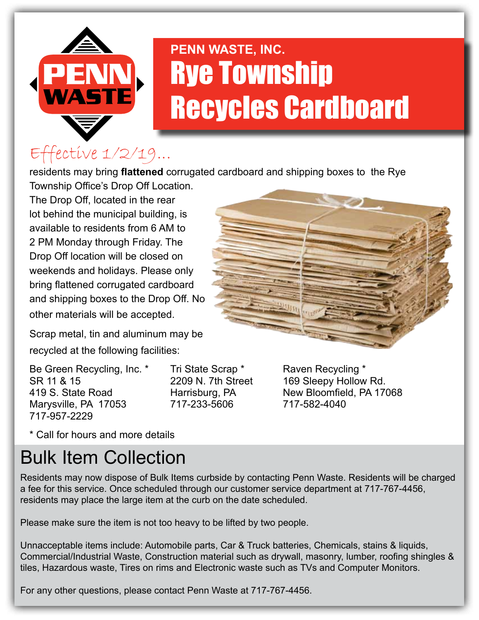

# **PENN WASTE, INC. Rye Township** Recycles Cardboard

## Effective 1/2/19...

residents may bring **flattened** corrugated cardboard and shipping boxes to the Rye Township Office's Drop Off Location.

The Drop Off, located in the rear lot behind the municipal building, is available to residents from 6 AM to 2 PM Monday through Friday. The Drop Off location will be closed on weekends and holidays. Please only bring flattened corrugated cardboard and shipping boxes to the Drop Off. No other materials will be accepted.

Scrap metal, tin and aluminum may be recycled at the following facilities:

Be Green Recycling, Inc. \* Tri State Scrap \* Raven Recycling \* SR 11 & 15 2209 N. 7th Street 169 Sleepy Hollow Rd. Marysville, PA 17053 717-233-5606 717-582-4040 717-957-2229

419 S. State Road Harrisburg, PA New Bloomfield, PA 17068

\* Call for hours and more details

# Bulk Item Collection

Residents may now dispose of Bulk Items curbside by contacting Penn Waste. Residents will be charged a fee for this service. Once scheduled through our customer service department at 717-767-4456, residents may place the large item at the curb on the date scheduled.

Please make sure the item is not too heavy to be lifted by two people.

Unnacceptable items include: Automobile parts, Car & Truck batteries, Chemicals, stains & liquids, Commercial/Industrial Waste, Construction material such as drywall, masonry, lumber, roofing shingles & tiles, Hazardous waste, Tires on rims and Electronic waste such as TVs and Computer Monitors.

For any other questions, please contact Penn Waste at 717-767-4456.